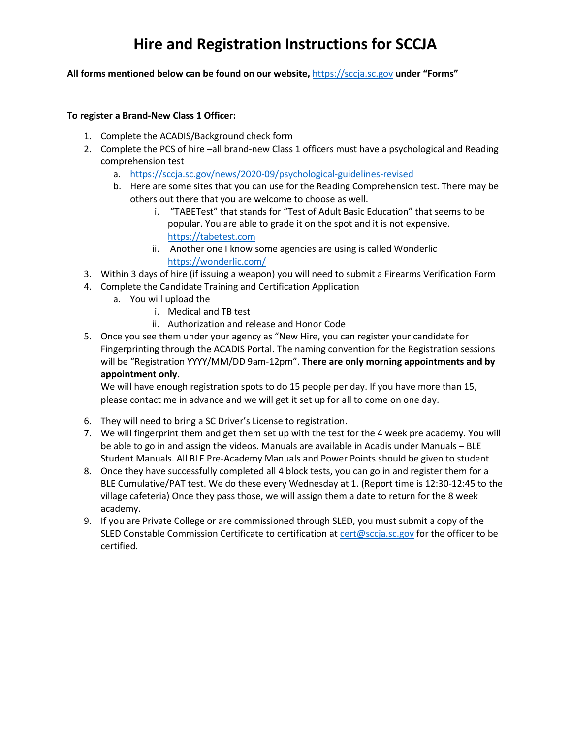# **Hire and Registration Instructions for SCCJA**

#### **All forms mentioned below can be found on our website,** https://sccja.sc.gov **under "Forms"**

#### **To register a Brand-New Class 1 Officer:**

- 1. Complete the ACADIS/Background check form
- 2. Complete the PCS of hire –all brand-new Class 1 officers must have a psychological and Reading comprehension test
	- a. https://sccja.sc.gov/news/2020-09/psychological-guidelines-revised
	- b. Here are some sites that you can use for the Reading Comprehension test. There may be others out there that you are welcome to choose as well.
		- i. "TABETest" that stands for "Test of Adult Basic Education" that seems to be popular. You are able to grade it on the spot and it is not expensive. https://tabetest.com
		- ii. Another one I know some agencies are using is called Wonderlic https://wonderlic.com/
- 3. Within 3 days of hire (if issuing a weapon) you will need to submit a Firearms Verification Form
- 4. Complete the Candidate Training and Certification Application
	- a. You will upload the
		- i. Medical and TB test
		- ii. Authorization and release and Honor Code
- 5. Once you see them under your agency as "New Hire, you can register your candidate for Fingerprinting through the ACADIS Portal. The naming convention for the Registration sessions will be "Registration YYYY/MM/DD 9am-12pm". **There are only morning appointments and by appointment only.**

We will have enough registration spots to do 15 people per day. If you have more than 15, please contact me in advance and we will get it set up for all to come on one day.

- 6. They will need to bring a SC Driver's License to registration.
- 7. We will fingerprint them and get them set up with the test for the 4 week pre academy. You will be able to go in and assign the videos. Manuals are available in Acadis under Manuals – BLE Student Manuals. All BLE Pre-Academy Manuals and Power Points should be given to student
- 8. Once they have successfully completed all 4 block tests, you can go in and register them for a BLE Cumulative/PAT test. We do these every Wednesday at 1. (Report time is 12:30-12:45 to the village cafeteria) Once they pass those, we will assign them a date to return for the 8 week academy.
- 9. If you are Private College or are commissioned through SLED, you must submit a copy of the SLED Constable Commission Certificate to certification at cert@sccja.sc.gov for the officer to be certified.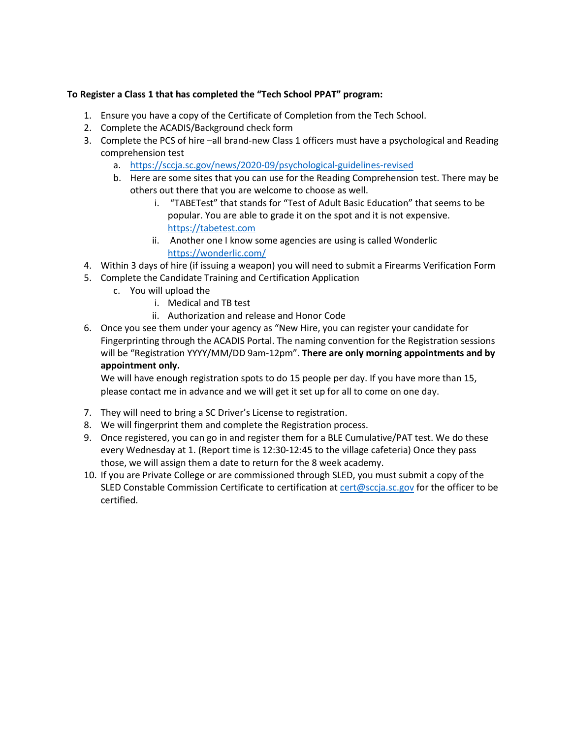#### **To Register a Class 1 that has completed the "Tech School PPAT" program:**

- 1. Ensure you have a copy of the Certificate of Completion from the Tech School.
- 2. Complete the ACADIS/Background check form
- 3. Complete the PCS of hire –all brand-new Class 1 officers must have a psychological and Reading comprehension test
	- a. https://sccja.sc.gov/news/2020-09/psychological-guidelines-revised
	- b. Here are some sites that you can use for the Reading Comprehension test. There may be others out there that you are welcome to choose as well.
		- i. "TABETest" that stands for "Test of Adult Basic Education" that seems to be popular. You are able to grade it on the spot and it is not expensive. https://tabetest.com
		- ii. Another one I know some agencies are using is called Wonderlic https://wonderlic.com/
- 4. Within 3 days of hire (if issuing a weapon) you will need to submit a Firearms Verification Form
- 5. Complete the Candidate Training and Certification Application
	- c. You will upload the
		- i. Medical and TB test
		- ii. Authorization and release and Honor Code
- 6. Once you see them under your agency as "New Hire, you can register your candidate for Fingerprinting through the ACADIS Portal. The naming convention for the Registration sessions will be "Registration YYYY/MM/DD 9am-12pm". **There are only morning appointments and by appointment only.**

We will have enough registration spots to do 15 people per day. If you have more than 15, please contact me in advance and we will get it set up for all to come on one day.

- 7. They will need to bring a SC Driver's License to registration.
- 8. We will fingerprint them and complete the Registration process.
- 9. Once registered, you can go in and register them for a BLE Cumulative/PAT test. We do these every Wednesday at 1. (Report time is 12:30-12:45 to the village cafeteria) Once they pass those, we will assign them a date to return for the 8 week academy.
- 10. If you are Private College or are commissioned through SLED, you must submit a copy of the SLED Constable Commission Certificate to certification at cert@sccja.sc.gov for the officer to be certified.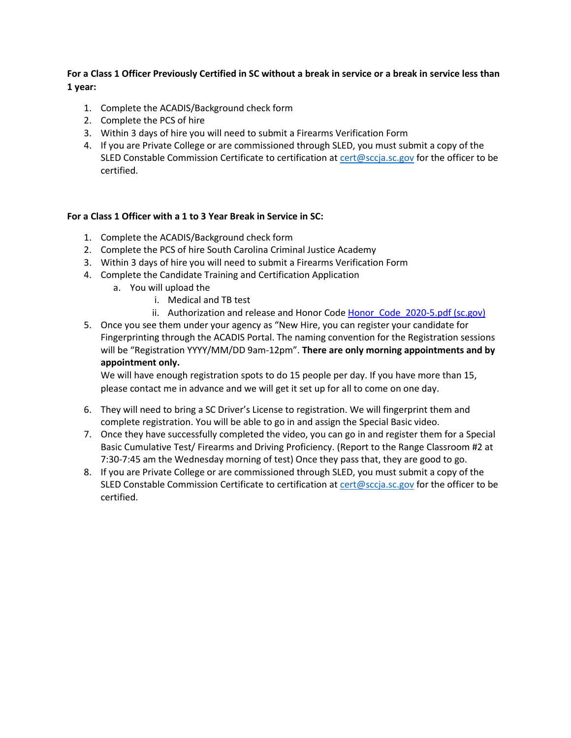# **For a Class 1 Officer Previously Certified in SC without a break in service or a break in service less than 1 year:**

- 1. Complete the ACADIS/Background check form
- 2. Complete the PCS of hire
- 3. Within 3 days of hire you will need to submit a Firearms Verification Form
- 4. If you are Private College or are commissioned through SLED, you must submit a copy of the SLED Constable Commission Certificate to certification at cert@sccja.sc.gov for the officer to be certified.

# **For a Class 1 Officer with a 1 to 3 Year Break in Service in SC:**

- 1. Complete the ACADIS/Background check form
- 2. Complete the PCS of hire South Carolina Criminal Justice Academy
- 3. Within 3 days of hire you will need to submit a Firearms Verification Form
- 4. Complete the Candidate Training and Certification Application
	- a. You will upload the
		- i. Medical and TB test
		- ii. Authorization and release and Honor Code Honor Code 2020-5.pdf (sc.gov)
- 5. Once you see them under your agency as "New Hire, you can register your candidate for Fingerprinting through the ACADIS Portal. The naming convention for the Registration sessions will be "Registration YYYY/MM/DD 9am-12pm". **There are only morning appointments and by appointment only.**

We will have enough registration spots to do 15 people per day. If you have more than 15, please contact me in advance and we will get it set up for all to come on one day.

- 6. They will need to bring a SC Driver's License to registration. We will fingerprint them and complete registration. You will be able to go in and assign the Special Basic video.
- 7. Once they have successfully completed the video, you can go in and register them for a Special Basic Cumulative Test/ Firearms and Driving Proficiency. (Report to the Range Classroom #2 at 7:30-7:45 am the Wednesday morning of test) Once they pass that, they are good to go.
- 8. If you are Private College or are commissioned through SLED, you must submit a copy of the SLED Constable Commission Certificate to certification at cert@sccja.sc.gov for the officer to be certified.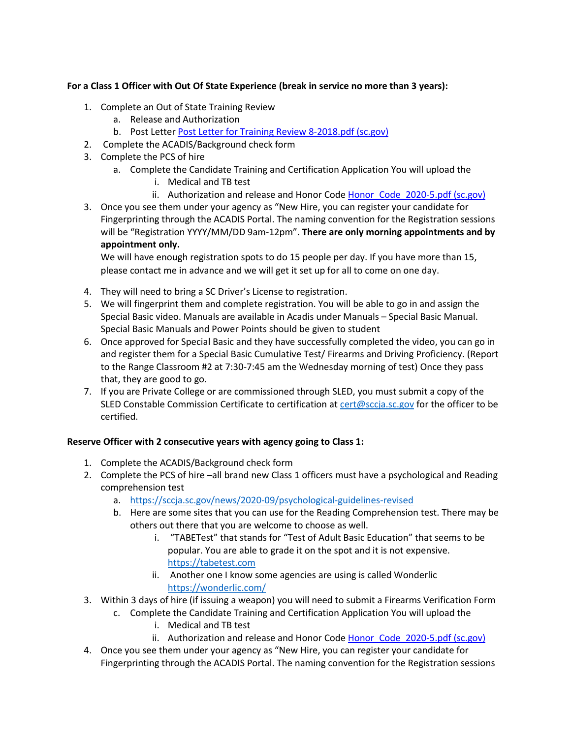# **For a Class 1 Officer with Out Of State Experience (break in service no more than 3 years):**

- 1. Complete an Out of State Training Review
	- a. Release and Authorization
	- b. Post Letter Post Letter for Training Review 8-2018.pdf (sc.gov)
- 2. Complete the ACADIS/Background check form
- 3. Complete the PCS of hire
	- a. Complete the Candidate Training and Certification Application You will upload the
		- i. Medical and TB test
		- ii. Authorization and release and Honor Code Honor\_Code\_2020-5.pdf (sc.gov)
- 3. Once you see them under your agency as "New Hire, you can register your candidate for Fingerprinting through the ACADIS Portal. The naming convention for the Registration sessions will be "Registration YYYY/MM/DD 9am-12pm". **There are only morning appointments and by appointment only.**

We will have enough registration spots to do 15 people per day. If you have more than 15, please contact me in advance and we will get it set up for all to come on one day.

- 4. They will need to bring a SC Driver's License to registration.
- 5. We will fingerprint them and complete registration. You will be able to go in and assign the Special Basic video. Manuals are available in Acadis under Manuals – Special Basic Manual. Special Basic Manuals and Power Points should be given to student
- 6. Once approved for Special Basic and they have successfully completed the video, you can go in and register them for a Special Basic Cumulative Test/ Firearms and Driving Proficiency. (Report to the Range Classroom #2 at 7:30-7:45 am the Wednesday morning of test) Once they pass that, they are good to go.
- 7. If you are Private College or are commissioned through SLED, you must submit a copy of the SLED Constable Commission Certificate to certification at cert@sccja.sc.gov for the officer to be certified.

#### **Reserve Officer with 2 consecutive years with agency going to Class 1:**

- 1. Complete the ACADIS/Background check form
- 2. Complete the PCS of hire –all brand new Class 1 officers must have a psychological and Reading comprehension test
	- a. https://sccja.sc.gov/news/2020-09/psychological-guidelines-revised
	- b. Here are some sites that you can use for the Reading Comprehension test. There may be others out there that you are welcome to choose as well.
		- i. "TABETest" that stands for "Test of Adult Basic Education" that seems to be popular. You are able to grade it on the spot and it is not expensive. https://tabetest.com
		- ii. Another one I know some agencies are using is called Wonderlic https://wonderlic.com/
- 3. Within 3 days of hire (if issuing a weapon) you will need to submit a Firearms Verification Form
	- c. Complete the Candidate Training and Certification Application You will upload the
		- i. Medical and TB test
		- ii. Authorization and release and Honor Code Honor Code 2020-5.pdf (sc.gov)
- 4. Once you see them under your agency as "New Hire, you can register your candidate for Fingerprinting through the ACADIS Portal. The naming convention for the Registration sessions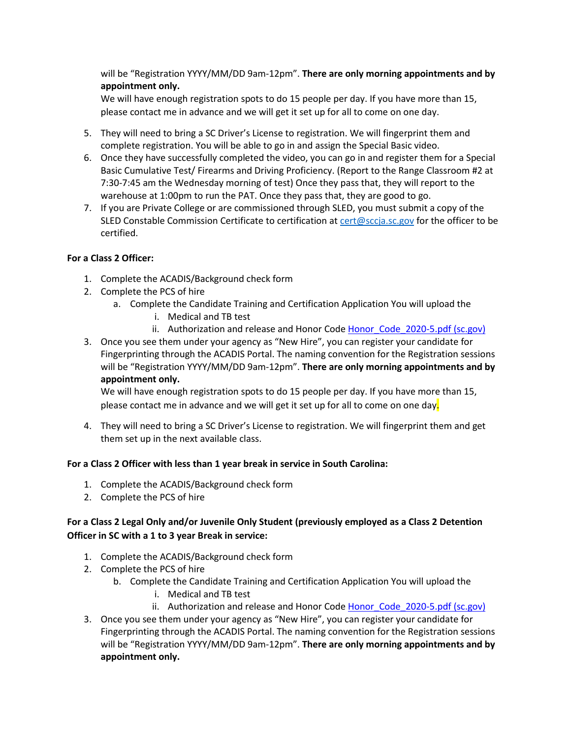will be "Registration YYYY/MM/DD 9am-12pm". **There are only morning appointments and by appointment only.** 

We will have enough registration spots to do 15 people per day. If you have more than 15, please contact me in advance and we will get it set up for all to come on one day.

- 5. They will need to bring a SC Driver's License to registration. We will fingerprint them and complete registration. You will be able to go in and assign the Special Basic video.
- 6. Once they have successfully completed the video, you can go in and register them for a Special Basic Cumulative Test/ Firearms and Driving Proficiency. (Report to the Range Classroom #2 at 7:30-7:45 am the Wednesday morning of test) Once they pass that, they will report to the warehouse at 1:00pm to run the PAT. Once they pass that, they are good to go.
- 7. If you are Private College or are commissioned through SLED, you must submit a copy of the SLED Constable Commission Certificate to certification at cert@sccja.sc.gov for the officer to be certified.

#### **For a Class 2 Officer:**

- 1. Complete the ACADIS/Background check form
- 2. Complete the PCS of hire
	- a. Complete the Candidate Training and Certification Application You will upload the
		- i. Medical and TB test
		- ii. Authorization and release and Honor Code Honor Code 2020-5.pdf (sc.gov)
- 3. Once you see them under your agency as "New Hire", you can register your candidate for Fingerprinting through the ACADIS Portal. The naming convention for the Registration sessions will be "Registration YYYY/MM/DD 9am-12pm". **There are only morning appointments and by appointment only.**

We will have enough registration spots to do 15 people per day. If you have more than 15, please contact me in advance and we will get it set up for all to come on one day.

4. They will need to bring a SC Driver's License to registration. We will fingerprint them and get them set up in the next available class.

# **For a Class 2 Officer with less than 1 year break in service in South Carolina:**

- 1. Complete the ACADIS/Background check form
- 2. Complete the PCS of hire

# **For a Class 2 Legal Only and/or Juvenile Only Student (previously employed as a Class 2 Detention Officer in SC with a 1 to 3 year Break in service:**

- 1. Complete the ACADIS/Background check form
- 2. Complete the PCS of hire
	- b. Complete the Candidate Training and Certification Application You will upload the
		- i. Medical and TB test
		- ii. Authorization and release and Honor Code Honor Code 2020-5.pdf (sc.gov)
- 3. Once you see them under your agency as "New Hire", you can register your candidate for Fingerprinting through the ACADIS Portal. The naming convention for the Registration sessions will be "Registration YYYY/MM/DD 9am-12pm". **There are only morning appointments and by appointment only.**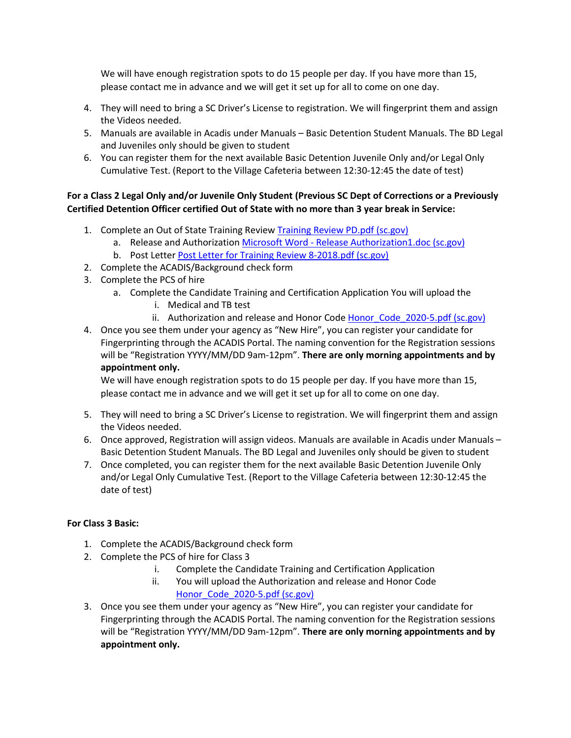We will have enough registration spots to do 15 people per day. If you have more than 15, please contact me in advance and we will get it set up for all to come on one day.

- 4. They will need to bring a SC Driver's License to registration. We will fingerprint them and assign the Videos needed.
- 5. Manuals are available in Acadis under Manuals Basic Detention Student Manuals. The BD Legal and Juveniles only should be given to student
- 6. You can register them for the next available Basic Detention Juvenile Only and/or Legal Only Cumulative Test. (Report to the Village Cafeteria between 12:30-12:45 the date of test)

# **For a Class 2 Legal Only and/or Juvenile Only Student (Previous SC Dept of Corrections or a Previously Certified Detention Officer certified Out of State with no more than 3 year break in Service:**

- 1. Complete an Out of State Training Review Training Review PD.pdf (sc.gov)
	- a. Release and Authorization Microsoft Word Release Authorization1.doc (sc.gov)
	- b. Post Letter Post Letter for Training Review 8-2018.pdf (sc.gov)
- 2. Complete the ACADIS/Background check form
- 3. Complete the PCS of hire
	- a. Complete the Candidate Training and Certification Application You will upload the
		- i. Medical and TB test
		- ii. Authorization and release and Honor Code Honor Code 2020-5.pdf (sc.gov)
- 4. Once you see them under your agency as "New Hire", you can register your candidate for Fingerprinting through the ACADIS Portal. The naming convention for the Registration sessions will be "Registration YYYY/MM/DD 9am-12pm". **There are only morning appointments and by appointment only.**

We will have enough registration spots to do 15 people per day. If you have more than 15, please contact me in advance and we will get it set up for all to come on one day.

- 5. They will need to bring a SC Driver's License to registration. We will fingerprint them and assign the Videos needed.
- 6. Once approved, Registration will assign videos. Manuals are available in Acadis under Manuals Basic Detention Student Manuals. The BD Legal and Juveniles only should be given to student
- 7. Once completed, you can register them for the next available Basic Detention Juvenile Only and/or Legal Only Cumulative Test. (Report to the Village Cafeteria between 12:30-12:45 the date of test)

# **For Class 3 Basic:**

- 1. Complete the ACADIS/Background check form
- 2. Complete the PCS of hire for Class 3
	- i. Complete the Candidate Training and Certification Application
	- ii. You will upload the Authorization and release and Honor Code Honor\_Code\_2020-5.pdf (sc.gov)
- 3. Once you see them under your agency as "New Hire", you can register your candidate for Fingerprinting through the ACADIS Portal. The naming convention for the Registration sessions will be "Registration YYYY/MM/DD 9am-12pm". **There are only morning appointments and by appointment only.**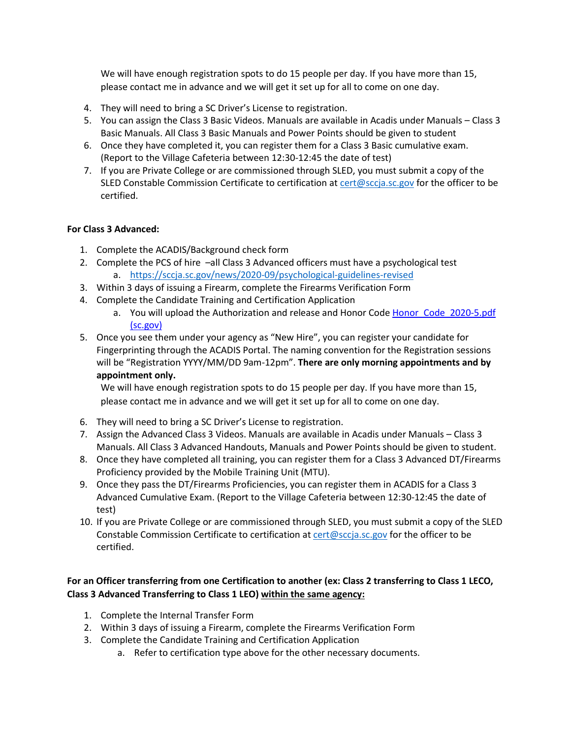We will have enough registration spots to do 15 people per day. If you have more than 15, please contact me in advance and we will get it set up for all to come on one day.

- 4. They will need to bring a SC Driver's License to registration.
- 5. You can assign the Class 3 Basic Videos. Manuals are available in Acadis under Manuals Class 3 Basic Manuals. All Class 3 Basic Manuals and Power Points should be given to student
- 6. Once they have completed it, you can register them for a Class 3 Basic cumulative exam. (Report to the Village Cafeteria between 12:30-12:45 the date of test)
- 7. If you are Private College or are commissioned through SLED, you must submit a copy of the SLED Constable Commission Certificate to certification at cert@sccja.sc.gov for the officer to be certified.

# **For Class 3 Advanced:**

- 1. Complete the ACADIS/Background check form
- 2. Complete the PCS of hire –all Class 3 Advanced officers must have a psychological test a. https://sccja.sc.gov/news/2020-09/psychological-guidelines-revised
- 3. Within 3 days of issuing a Firearm, complete the Firearms Verification Form
- 4. Complete the Candidate Training and Certification Application
	- a. You will upload the Authorization and release and Honor Code Honor Code 2020-5.pdf (sc.gov)
- 5. Once you see them under your agency as "New Hire", you can register your candidate for Fingerprinting through the ACADIS Portal. The naming convention for the Registration sessions will be "Registration YYYY/MM/DD 9am-12pm". **There are only morning appointments and by appointment only.**

We will have enough registration spots to do 15 people per day. If you have more than 15, please contact me in advance and we will get it set up for all to come on one day.

- 6. They will need to bring a SC Driver's License to registration.
- 7. Assign the Advanced Class 3 Videos. Manuals are available in Acadis under Manuals Class 3 Manuals. All Class 3 Advanced Handouts, Manuals and Power Points should be given to student.
- 8. Once they have completed all training, you can register them for a Class 3 Advanced DT/Firearms Proficiency provided by the Mobile Training Unit (MTU).
- 9. Once they pass the DT/Firearms Proficiencies, you can register them in ACADIS for a Class 3 Advanced Cumulative Exam. (Report to the Village Cafeteria between 12:30-12:45 the date of test)
- 10. If you are Private College or are commissioned through SLED, you must submit a copy of the SLED Constable Commission Certificate to certification at cert@sccja.sc.gov for the officer to be certified.

# **For an Officer transferring from one Certification to another (ex: Class 2 transferring to Class 1 LECO, Class 3 Advanced Transferring to Class 1 LEO) within the same agency:**

- 1. Complete the Internal Transfer Form
- 2. Within 3 days of issuing a Firearm, complete the Firearms Verification Form
- 3. Complete the Candidate Training and Certification Application
	- a. Refer to certification type above for the other necessary documents.